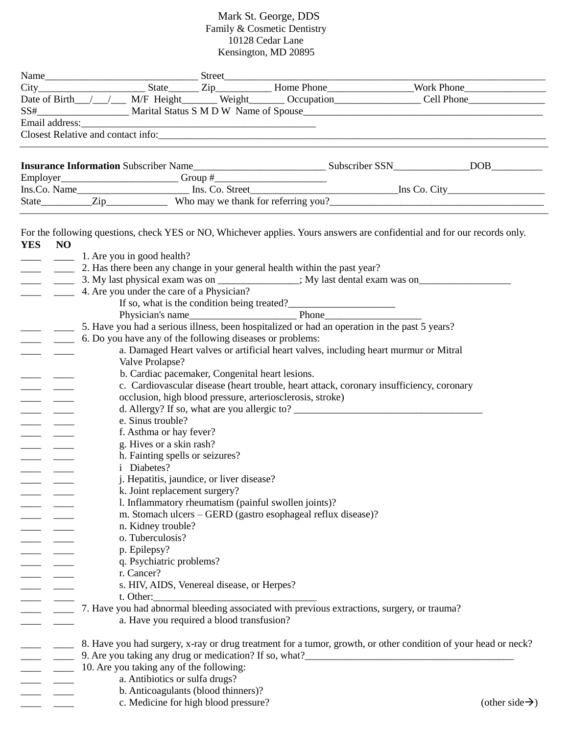## Mark St. George, DDS Family & Cosmetic Dentistry 10128 Cedar Lane Kensington, MD 20895

| <b>YES</b><br><b>NO</b><br>$\overline{\phantom{a}}$ and $\overline{\phantom{a}}$<br>$\frac{1}{2}$<br>$\sim$ $\sim$ $\sim$ | 1. Are you in good health?<br>4. Are you under the care of a Physician?<br>If so, what is the condition being treated?<br>Physician's name<br>Phone |                                                 | Name City Mork Phone City Mork Phone City Mork Phone Mork Phone Mork Phone Mork Phone Mork Phone Mork Phone Mork Phone Mork Phone Mork Phone Mork Phone Mork Phone Mork Phone Mork Phone Mork Phone Mork Phone Mork Phone Mork<br>Date of Birth_/_/__/___ M/F Height______ Weight______ Occupation________________Cell Phone___________________<br>Employer<br>Ins.Co. Name<br>Ins.Co. Name<br>Ins.Co. Name<br>Ins.Co. Name<br>Ins.Co. Name<br>Ins.Co. Name<br>For the following questions, check YES or NO, Whichever applies. Yours answers are confidential and for our records only.<br>2. Has there been any change in your general health within the past year? |  |
|---------------------------------------------------------------------------------------------------------------------------|-----------------------------------------------------------------------------------------------------------------------------------------------------|-------------------------------------------------|-----------------------------------------------------------------------------------------------------------------------------------------------------------------------------------------------------------------------------------------------------------------------------------------------------------------------------------------------------------------------------------------------------------------------------------------------------------------------------------------------------------------------------------------------------------------------------------------------------------------------------------------------------------------------|--|
|                                                                                                                           |                                                                                                                                                     |                                                 |                                                                                                                                                                                                                                                                                                                                                                                                                                                                                                                                                                                                                                                                       |  |
|                                                                                                                           |                                                                                                                                                     |                                                 |                                                                                                                                                                                                                                                                                                                                                                                                                                                                                                                                                                                                                                                                       |  |
|                                                                                                                           |                                                                                                                                                     |                                                 |                                                                                                                                                                                                                                                                                                                                                                                                                                                                                                                                                                                                                                                                       |  |
|                                                                                                                           |                                                                                                                                                     |                                                 |                                                                                                                                                                                                                                                                                                                                                                                                                                                                                                                                                                                                                                                                       |  |
|                                                                                                                           |                                                                                                                                                     |                                                 |                                                                                                                                                                                                                                                                                                                                                                                                                                                                                                                                                                                                                                                                       |  |
|                                                                                                                           |                                                                                                                                                     |                                                 |                                                                                                                                                                                                                                                                                                                                                                                                                                                                                                                                                                                                                                                                       |  |
|                                                                                                                           |                                                                                                                                                     |                                                 |                                                                                                                                                                                                                                                                                                                                                                                                                                                                                                                                                                                                                                                                       |  |
|                                                                                                                           |                                                                                                                                                     |                                                 |                                                                                                                                                                                                                                                                                                                                                                                                                                                                                                                                                                                                                                                                       |  |
|                                                                                                                           |                                                                                                                                                     |                                                 |                                                                                                                                                                                                                                                                                                                                                                                                                                                                                                                                                                                                                                                                       |  |
|                                                                                                                           |                                                                                                                                                     |                                                 |                                                                                                                                                                                                                                                                                                                                                                                                                                                                                                                                                                                                                                                                       |  |
|                                                                                                                           |                                                                                                                                                     |                                                 |                                                                                                                                                                                                                                                                                                                                                                                                                                                                                                                                                                                                                                                                       |  |
|                                                                                                                           |                                                                                                                                                     |                                                 |                                                                                                                                                                                                                                                                                                                                                                                                                                                                                                                                                                                                                                                                       |  |
|                                                                                                                           |                                                                                                                                                     |                                                 |                                                                                                                                                                                                                                                                                                                                                                                                                                                                                                                                                                                                                                                                       |  |
|                                                                                                                           |                                                                                                                                                     |                                                 |                                                                                                                                                                                                                                                                                                                                                                                                                                                                                                                                                                                                                                                                       |  |
|                                                                                                                           |                                                                                                                                                     |                                                 |                                                                                                                                                                                                                                                                                                                                                                                                                                                                                                                                                                                                                                                                       |  |
|                                                                                                                           |                                                                                                                                                     |                                                 |                                                                                                                                                                                                                                                                                                                                                                                                                                                                                                                                                                                                                                                                       |  |
|                                                                                                                           |                                                                                                                                                     |                                                 |                                                                                                                                                                                                                                                                                                                                                                                                                                                                                                                                                                                                                                                                       |  |
|                                                                                                                           |                                                                                                                                                     |                                                 |                                                                                                                                                                                                                                                                                                                                                                                                                                                                                                                                                                                                                                                                       |  |
|                                                                                                                           |                                                                                                                                                     |                                                 |                                                                                                                                                                                                                                                                                                                                                                                                                                                                                                                                                                                                                                                                       |  |
|                                                                                                                           |                                                                                                                                                     |                                                 | 5. Have you had a serious illness, been hospitalized or had an operation in the past 5 years?                                                                                                                                                                                                                                                                                                                                                                                                                                                                                                                                                                         |  |
|                                                                                                                           | 6. Do you have any of the following diseases or problems:                                                                                           |                                                 |                                                                                                                                                                                                                                                                                                                                                                                                                                                                                                                                                                                                                                                                       |  |
|                                                                                                                           |                                                                                                                                                     |                                                 | a. Damaged Heart valves or artificial heart valves, including heart murmur or Mitral                                                                                                                                                                                                                                                                                                                                                                                                                                                                                                                                                                                  |  |
|                                                                                                                           | Valve Prolapse?                                                                                                                                     |                                                 |                                                                                                                                                                                                                                                                                                                                                                                                                                                                                                                                                                                                                                                                       |  |
|                                                                                                                           |                                                                                                                                                     | b. Cardiac pacemaker, Congenital heart lesions. |                                                                                                                                                                                                                                                                                                                                                                                                                                                                                                                                                                                                                                                                       |  |
|                                                                                                                           |                                                                                                                                                     |                                                 | c. Cardiovascular disease (heart trouble, heart attack, coronary insufficiency, coronary                                                                                                                                                                                                                                                                                                                                                                                                                                                                                                                                                                              |  |
|                                                                                                                           |                                                                                                                                                     |                                                 | occlusion, high blood pressure, arteriosclerosis, stroke)                                                                                                                                                                                                                                                                                                                                                                                                                                                                                                                                                                                                             |  |
|                                                                                                                           |                                                                                                                                                     |                                                 |                                                                                                                                                                                                                                                                                                                                                                                                                                                                                                                                                                                                                                                                       |  |
|                                                                                                                           | e. Sinus trouble?                                                                                                                                   |                                                 |                                                                                                                                                                                                                                                                                                                                                                                                                                                                                                                                                                                                                                                                       |  |
|                                                                                                                           | f. Asthma or hay fever?                                                                                                                             |                                                 |                                                                                                                                                                                                                                                                                                                                                                                                                                                                                                                                                                                                                                                                       |  |
|                                                                                                                           | g. Hives or a skin rash?                                                                                                                            |                                                 |                                                                                                                                                                                                                                                                                                                                                                                                                                                                                                                                                                                                                                                                       |  |
|                                                                                                                           |                                                                                                                                                     | h. Fainting spells or seizures?                 |                                                                                                                                                                                                                                                                                                                                                                                                                                                                                                                                                                                                                                                                       |  |
|                                                                                                                           | <i>i</i> Diabetes?                                                                                                                                  |                                                 |                                                                                                                                                                                                                                                                                                                                                                                                                                                                                                                                                                                                                                                                       |  |
|                                                                                                                           |                                                                                                                                                     | j. Hepatitis, jaundice, or liver disease?       |                                                                                                                                                                                                                                                                                                                                                                                                                                                                                                                                                                                                                                                                       |  |
|                                                                                                                           |                                                                                                                                                     | k. Joint replacement surgery?                   |                                                                                                                                                                                                                                                                                                                                                                                                                                                                                                                                                                                                                                                                       |  |
|                                                                                                                           |                                                                                                                                                     |                                                 | 1. Inflammatory rheumatism (painful swollen joints)?                                                                                                                                                                                                                                                                                                                                                                                                                                                                                                                                                                                                                  |  |
|                                                                                                                           |                                                                                                                                                     |                                                 | m. Stomach ulcers - GERD (gastro esophageal reflux disease)?                                                                                                                                                                                                                                                                                                                                                                                                                                                                                                                                                                                                          |  |
|                                                                                                                           | n. Kidney trouble?                                                                                                                                  |                                                 |                                                                                                                                                                                                                                                                                                                                                                                                                                                                                                                                                                                                                                                                       |  |
|                                                                                                                           | o. Tuberculosis?                                                                                                                                    |                                                 |                                                                                                                                                                                                                                                                                                                                                                                                                                                                                                                                                                                                                                                                       |  |
|                                                                                                                           | p. Epilepsy?                                                                                                                                        |                                                 |                                                                                                                                                                                                                                                                                                                                                                                                                                                                                                                                                                                                                                                                       |  |
|                                                                                                                           | q. Psychiatric problems?                                                                                                                            |                                                 |                                                                                                                                                                                                                                                                                                                                                                                                                                                                                                                                                                                                                                                                       |  |
|                                                                                                                           | r. Cancer?                                                                                                                                          |                                                 |                                                                                                                                                                                                                                                                                                                                                                                                                                                                                                                                                                                                                                                                       |  |
|                                                                                                                           |                                                                                                                                                     | s. HIV, AIDS, Venereal disease, or Herpes?      |                                                                                                                                                                                                                                                                                                                                                                                                                                                                                                                                                                                                                                                                       |  |
|                                                                                                                           | t. Other:                                                                                                                                           |                                                 |                                                                                                                                                                                                                                                                                                                                                                                                                                                                                                                                                                                                                                                                       |  |
|                                                                                                                           |                                                                                                                                                     |                                                 | 7. Have you had abnormal bleeding associated with previous extractions, surgery, or trauma?                                                                                                                                                                                                                                                                                                                                                                                                                                                                                                                                                                           |  |
|                                                                                                                           |                                                                                                                                                     | a. Have you required a blood transfusion?       |                                                                                                                                                                                                                                                                                                                                                                                                                                                                                                                                                                                                                                                                       |  |
|                                                                                                                           |                                                                                                                                                     |                                                 | 8. Have you had surgery, x-ray or drug treatment for a tumor, growth, or other condition of your head or neck?                                                                                                                                                                                                                                                                                                                                                                                                                                                                                                                                                        |  |
|                                                                                                                           |                                                                                                                                                     |                                                 | 9. Are you taking any drug or medication? If so, what?___________________________                                                                                                                                                                                                                                                                                                                                                                                                                                                                                                                                                                                     |  |
|                                                                                                                           | 10. Are you taking any of the following:                                                                                                            |                                                 |                                                                                                                                                                                                                                                                                                                                                                                                                                                                                                                                                                                                                                                                       |  |
|                                                                                                                           |                                                                                                                                                     | a. Antibiotics or sulfa drugs?                  |                                                                                                                                                                                                                                                                                                                                                                                                                                                                                                                                                                                                                                                                       |  |
|                                                                                                                           |                                                                                                                                                     | b. Anticoagulants (blood thinners)?             |                                                                                                                                                                                                                                                                                                                                                                                                                                                                                                                                                                                                                                                                       |  |
|                                                                                                                           |                                                                                                                                                     | c. Medicine for high blood pressure?            |                                                                                                                                                                                                                                                                                                                                                                                                                                                                                                                                                                                                                                                                       |  |